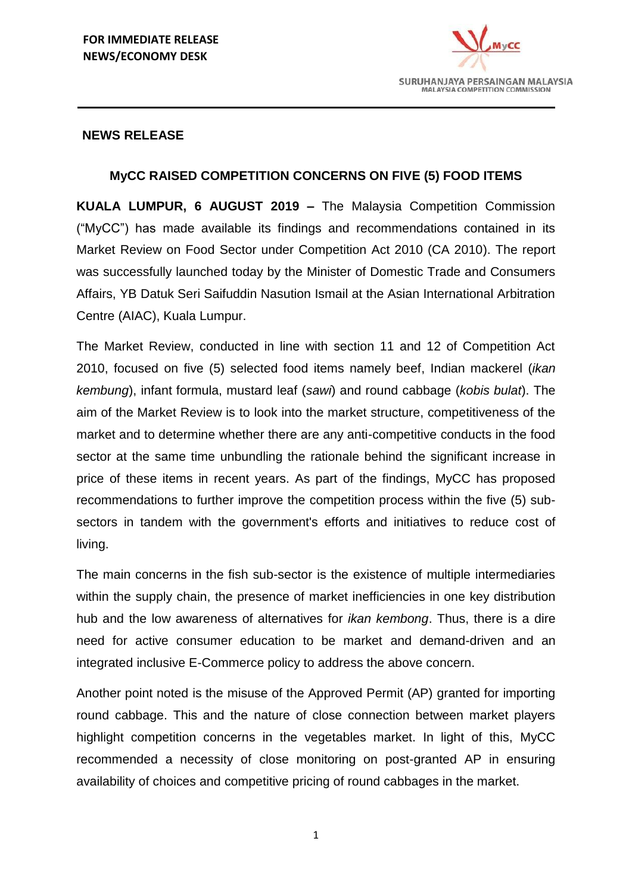

#### **NEWS RELEASE**

## **MyCC RAISED COMPETITION CONCERNS ON FIVE (5) FOOD ITEMS**

**KUALA LUMPUR, 6 AUGUST 2019 –** The Malaysia Competition Commission ("MyCC") has made available its findings and recommendations contained in its Market Review on Food Sector under Competition Act 2010 (CA 2010). The report was successfully launched today by the Minister of Domestic Trade and Consumers Affairs, YB Datuk Seri Saifuddin Nasution Ismail at the Asian International Arbitration Centre (AIAC), Kuala Lumpur.

The Market Review, conducted in line with section 11 and 12 of Competition Act 2010, focused on five (5) selected food items namely beef, Indian mackerel (*ikan kembung*), infant formula, mustard leaf (*sawi*) and round cabbage (*kobis bulat*). The aim of the Market Review is to look into the market structure, competitiveness of the market and to determine whether there are any anti-competitive conducts in the food sector at the same time unbundling the rationale behind the significant increase in price of these items in recent years. As part of the findings, MyCC has proposed recommendations to further improve the competition process within the five (5) subsectors in tandem with the government's efforts and initiatives to reduce cost of living.

The main concerns in the fish sub-sector is the existence of multiple intermediaries within the supply chain, the presence of market inefficiencies in one key distribution hub and the low awareness of alternatives for *ikan kembong*. Thus, there is a dire need for active consumer education to be market and demand-driven and an integrated inclusive E-Commerce policy to address the above concern.

Another point noted is the misuse of the Approved Permit (AP) granted for importing round cabbage. This and the nature of close connection between market players highlight competition concerns in the vegetables market. In light of this, MyCC recommended a necessity of close monitoring on post-granted AP in ensuring availability of choices and competitive pricing of round cabbages in the market.

1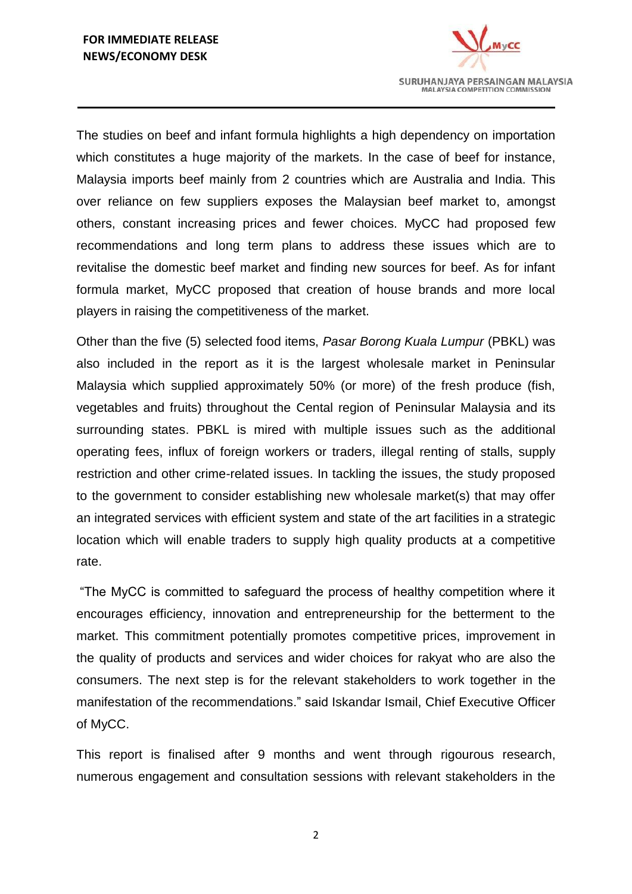

The studies on beef and infant formula highlights a high dependency on importation which constitutes a huge majority of the markets. In the case of beef for instance, Malaysia imports beef mainly from 2 countries which are Australia and India. This over reliance on few suppliers exposes the Malaysian beef market to, amongst others, constant increasing prices and fewer choices. MyCC had proposed few recommendations and long term plans to address these issues which are to revitalise the domestic beef market and finding new sources for beef. As for infant formula market, MyCC proposed that creation of house brands and more local players in raising the competitiveness of the market.

Other than the five (5) selected food items, *Pasar Borong Kuala Lumpur* (PBKL) was also included in the report as it is the largest wholesale market in Peninsular Malaysia which supplied approximately 50% (or more) of the fresh produce (fish, vegetables and fruits) throughout the Cental region of Peninsular Malaysia and its surrounding states. PBKL is mired with multiple issues such as the additional operating fees, influx of foreign workers or traders, illegal renting of stalls, supply restriction and other crime-related issues. In tackling the issues, the study proposed to the government to consider establishing new wholesale market(s) that may offer an integrated services with efficient system and state of the art facilities in a strategic location which will enable traders to supply high quality products at a competitive rate.

"The MyCC is committed to safeguard the process of healthy competition where it encourages efficiency, innovation and entrepreneurship for the betterment to the market. This commitment potentially promotes competitive prices, improvement in the quality of products and services and wider choices for rakyat who are also the consumers. The next step is for the relevant stakeholders to work together in the manifestation of the recommendations." said Iskandar Ismail, Chief Executive Officer of MyCC.

This report is finalised after 9 months and went through rigourous research, numerous engagement and consultation sessions with relevant stakeholders in the

2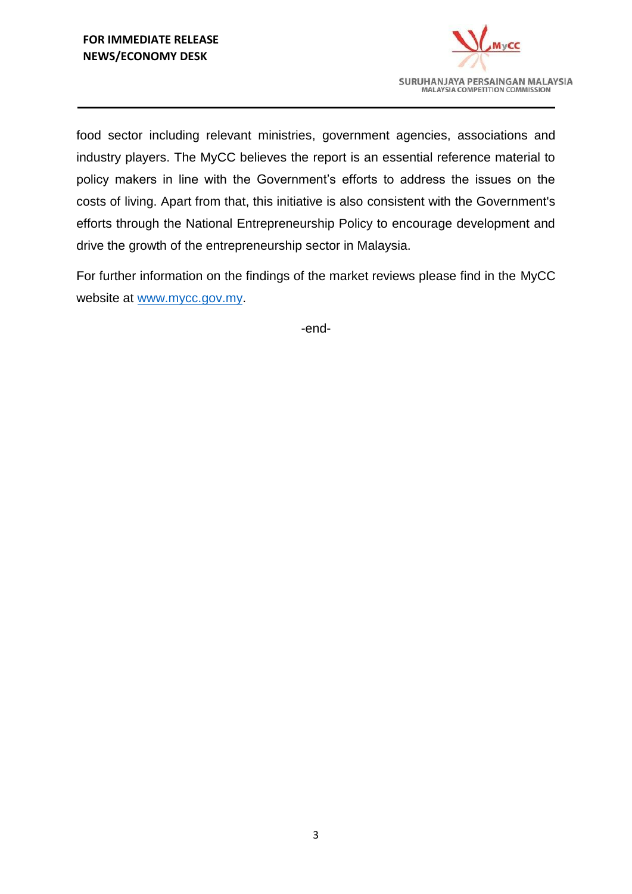

food sector including relevant ministries, government agencies, associations and industry players. The MyCC believes the report is an essential reference material to policy makers in line with the Government's efforts to address the issues on the costs of living. Apart from that, this initiative is also consistent with the Government's efforts through the National Entrepreneurship Policy to encourage development and drive the growth of the entrepreneurship sector in Malaysia.

For further information on the findings of the market reviews please find in the MyCC website at [www.mycc.gov.my.](http://www.mycc.gov.my/)

-end-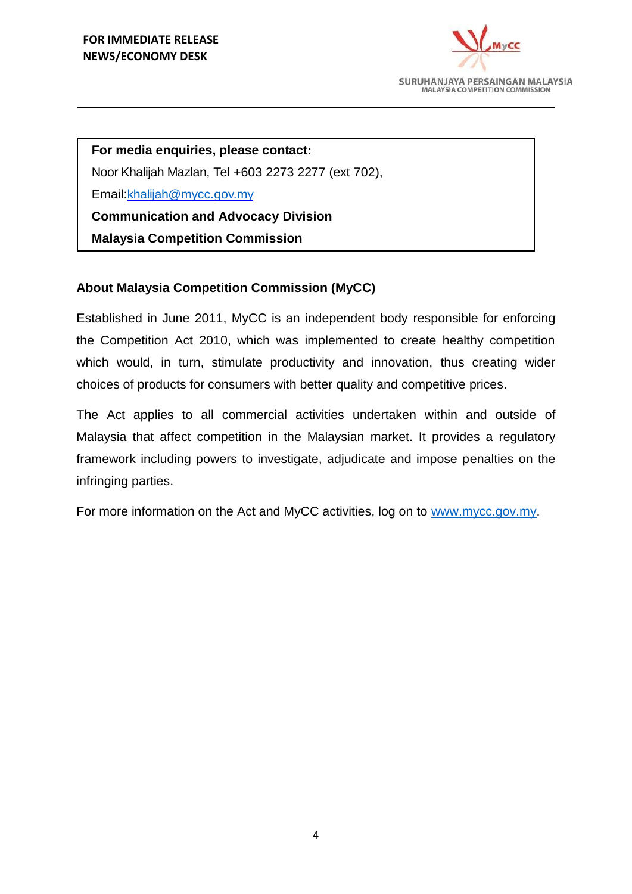

**For media enquiries, please contact:** Noor Khalijah Mazlan, Tel +603 2273 2277 (ext 702), Email[:khalijah@mycc.gov.my](mailto:khalijah@mycc.gov.my) **Communication and Advocacy Division**

**Malaysia Competition Commission**

# **About Malaysia Competition Commission (MyCC)**

Established in June 2011, MyCC is an independent body responsible for enforcing the Competition Act 2010, which was implemented to create healthy competition which would, in turn, stimulate productivity and innovation, thus creating wider choices of products for consumers with better quality and competitive prices.

The Act applies to all commercial activities undertaken within and outside of Malaysia that affect competition in the Malaysian market. It provides a regulatory framework including powers to investigate, adjudicate and impose penalties on the infringing parties.

For more information on the Act and MyCC activities, log on to [www.mycc.gov.my.](http://www.mycc.gov.my/)